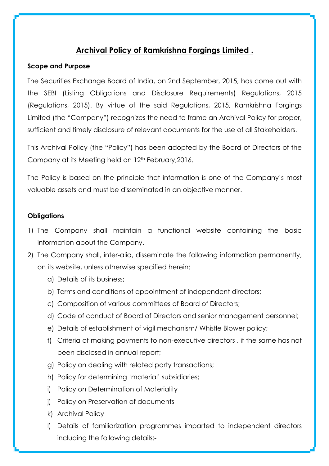# **Archival Policy of Ramkrishna Forgings Limited .**

### **Scope and Purpose**

The Securities Exchange Board of India, on 2nd September, 2015, has come out with the SEBI (Listing Obligations and Disclosure Requirements) Regulations, 2015 (Regulations, 2015). By virtue of the said Regulations, 2015, Ramkrishna Forgings Limited (the "Company") recognizes the need to frame an Archival Policy for proper, sufficient and timely disclosure of relevant documents for the use of all Stakeholders.

This Archival Policy (the "Policy") has been adopted by the Board of Directors of the Company at its Meeting held on 12th February,2016.

The Policy is based on the principle that information is one of the Company's most valuable assets and must be disseminated in an objective manner.

## **Obligations**

- 1) The Company shall maintain a functional website containing the basic information about the Company.
- 2) The Company shall, inter-alia, disseminate the following information permanently, on its website, unless otherwise specified herein:
	- a) Details of its business;
	- b) Terms and conditions of appointment of independent directors;
	- c) Composition of various committees of Board of Directors;
	- d) Code of conduct of Board of Directors and senior management personnel;
	- e) Details of establishment of vigil mechanism/ Whistle Blower policy;
	- f) Criteria of making payments to non-executive directors , if the same has not been disclosed in annual report;
	- g) Policy on dealing with related party transactions;
	- h) Policy for determining 'material' subsidiaries;
	- i) Policy on Determination of Materiality
	- j) Policy on Preservation of documents
	- k) Archival Policy
	- l) Details of familiarization programmes imparted to independent directors including the following details:-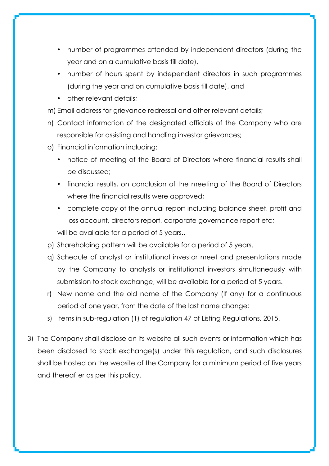- number of programmes attended by independent directors (during the year and on a cumulative basis till date),
- number of hours spent by independent directors in such programmes (during the year and on cumulative basis till date), and
- other relevant details:
- m) Email address for grievance redressal and other relevant details;
- n) Contact information of the designated officials of the Company who are responsible for assisting and handling investor grievances;
- o) Financial information including:
	- notice of meeting of the Board of Directors where financial results shall be discussed;
	- financial results, on conclusion of the meeting of the Board of Directors where the financial results were approved;
	- complete copy of the annual report including balance sheet, profit and loss account, directors report, corporate governance report etc; will be available for a period of 5 years..
- p) Shareholding pattern will be available for a period of 5 years.
- q) Schedule of analyst or institutional investor meet and presentations made by the Company to analysts or institutional investors simultaneously with submission to stock exchange, will be available for a period of 5 years.
- r) New name and the old name of the Company (If any) for a continuous period of one year, from the date of the last name change;
- s) Items in sub-regulation (1) of regulation 47 of Listing Regulations, 2015.
- 3) The Company shall disclose on its website all such events or information which has been disclosed to stock exchange(s) under this regulation, and such disclosures shall be hosted on the website of the Company for a minimum period of five years and thereafter as per this policy.